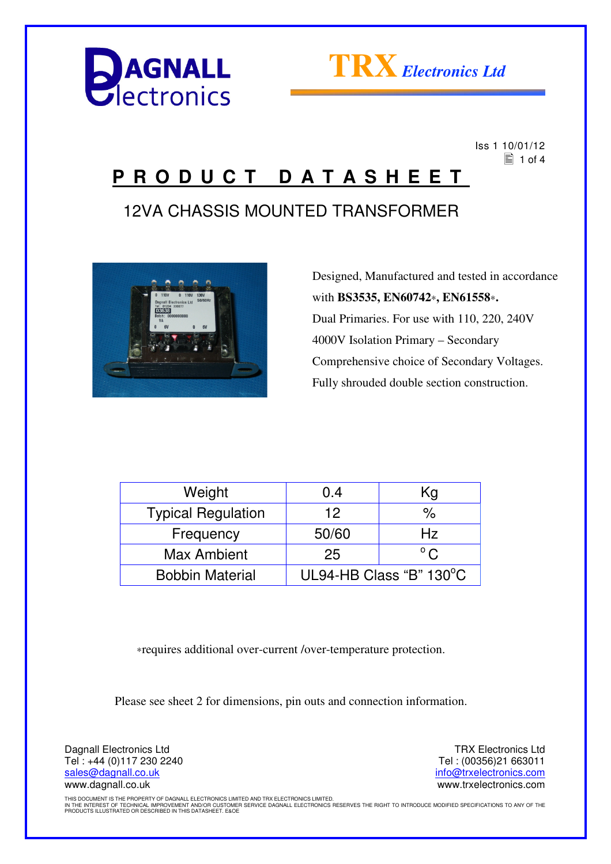



 Iss 1 10/01/12  $\equiv$  1 of 4

## **P R O D U C T D A T A S H E E T**

### 12VA CHASSIS MOUNTED TRANSFORMER



 Designed, Manufactured and tested in accordance with **BS3535, EN60742**∗**, EN61558**∗**.** Dual Primaries. For use with 110, 220, 240V 4000V Isolation Primary – Secondary Comprehensive choice of Secondary Voltages. Fully shrouded double section construction.

| Weight                    | 0.4                     | Kg            |
|---------------------------|-------------------------|---------------|
| <b>Typical Regulation</b> | 12                      | %             |
| Frequency                 | 50/60                   | Hz.           |
| <b>Max Ambient</b>        | 25                      | $^{\circ}$ C. |
| <b>Bobbin Material</b>    | UL94-HB Class "B" 130°C |               |

∗requires additional over-current /over-temperature protection.

Please see sheet 2 for dimensions, pin outs and connection information.

Dagnall Electronics Ltd Tel : +44 (0)117 230 2240 sales@dagnall.co.uk www.dagnall.co.uk

TRX Electronics Ltd Tel : (00356)21 663011 info@trxelectronics.com www.trxelectronics.com

THIS DOCUMENT IS THE PROPERTY OF DAGNALL ELECTRONICS LIMITED AND TRX ELECTRONICS LIMITED.<br>IN THE INTEREST OF TECHNICAL IMPROVEMENT AND/OR CUSTOMER SERVICE DAGNALL ELECTRONICS RESERVES THE RIGHT TO INTRODUCE MODIFIED SPECIF PRODUCTS ILLUSTRATED OR DESCRIBED IN THIS DATASHEET. E&OE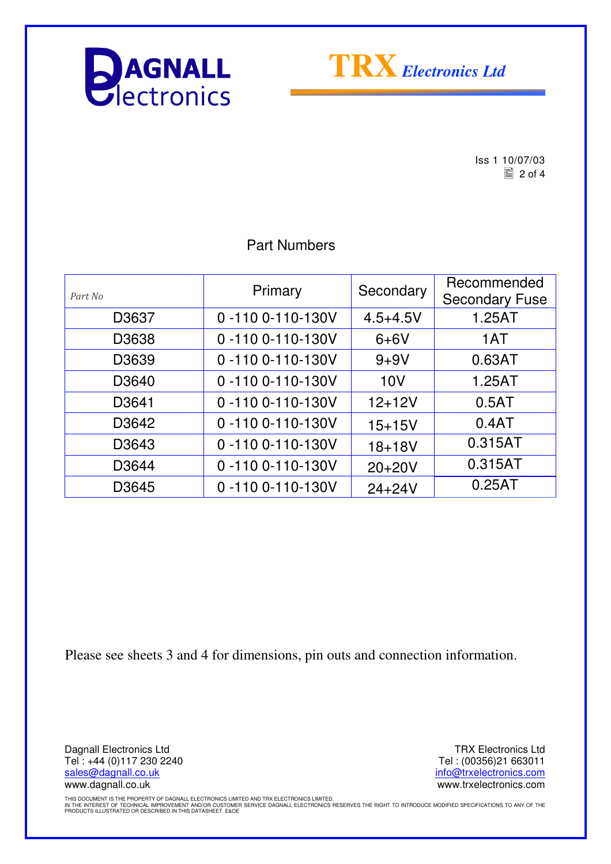



 $\begin{array}{r} \n \text{Iss 1 } 10/07/03 \\
\hline\n \text{2 of 4}\n \end{array}$  $\equiv$  2 of 4

#### Part Numbers

| Part No | Primary                 | Secondary    | Recommended<br><b>Secondary Fuse</b> |
|---------|-------------------------|--------------|--------------------------------------|
| D3637   | 0-110 0-110-130V        | $4.5 + 4.5V$ | 1.25AT                               |
| D3638   | 0-110 0-110-130V        | $6+6V$       | 1AT                                  |
| D3639   | 0-110 0-110-130V        | $9 + 9V$     | 0.63AT                               |
| D3640   | 0-110 0-110-130V        | 10V          | 1.25AT                               |
| D3641   | 0-110 0-110-130V        | $12 + 12V$   | 0.5AT                                |
| D3642   | 0-110 0-110-130V        | $15 + 15V$   | 0.4AT                                |
| D3643   | 0-110 0-110-130V        | $18 + 18V$   | 0.315AT                              |
| D3644   | 0-110 0-110-130V        | $20+20V$     | 0.315AT                              |
| D3645   | $0 - 1100 - 110 - 130V$ | $24 + 24V$   | 0.25AT                               |

Please see sheets 3 and 4 for dimensions, pin outs and connection information.

Dagnall Electronics Ltd Tel : +44 (0)117 230 2240 sales@dagnall.co.uk www.dagnall.co.uk

TRX Electronics Ltd Tel : (00356)21 663011 info@trxelectronics.com www.trxelectronics.com

THIS DOCUMENT IS THE PROPERTY OF DAGNALL ELECTRONICS LIMITED AND TRX ELECTRONICS LIMITED.<br>IN THE INTEREST OF TECHNICAL IMPROVEMENT AND/OR CUSTOMER SERVICE DAGNALL ELECTRONICS RESERVES THE RIGHT TO INTRODUCE MODIFIED SPECIF PRODUCTS ILLUSTRATED OR DESCRIBED IN THIS DATASHEET. E&OE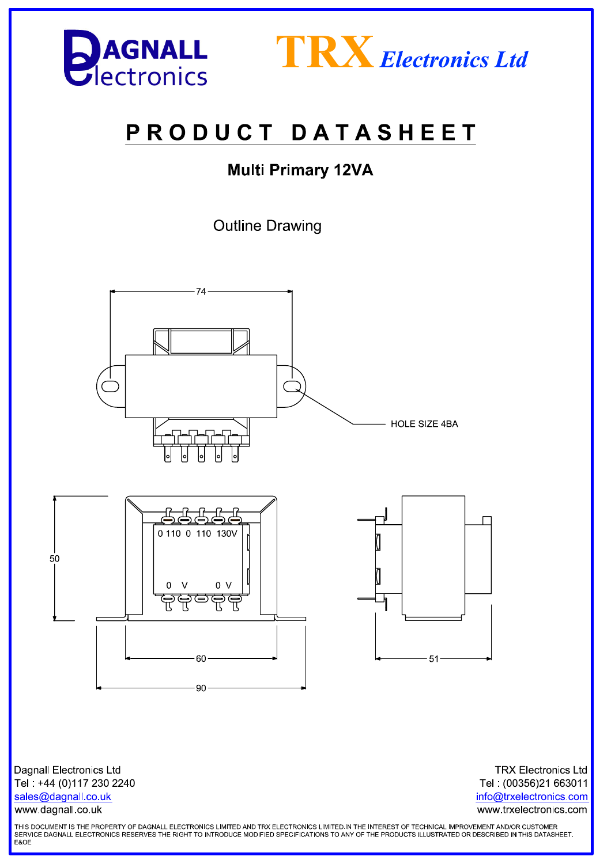



# PRODUCT DATASHEET

### **Multi Primary 12VA**

**Outline Drawing** 



**Dagnall Electronics Ltd** Tel: +44 (0)117 230 2240 sales@dagnall.co.uk www.dagnall.co.uk

**TRX Electronics Ltd** Tel: (00356)21 663011 info@trxelectronics.com www.trxelectronics.com

THIS DOCUMENT IS THE PROPERTY OF DAGNALL ELECTRONICS LIMITED AND TRX ELECTRONICS LIMITED.IN THE INTEREST OF TECHNICAL IMPROVEMENT AND/OR CUSTOMER SERVICE DAGNALL ELECTRONICS RESERVES THE RIGHT TO INTRODUCE MODIFIED SPECIFICATIONS TO ANY OF THE PRODUCTS ILLUSTRATED OR DESCRIBED IN THIS DATASHEET.<br>E&OE